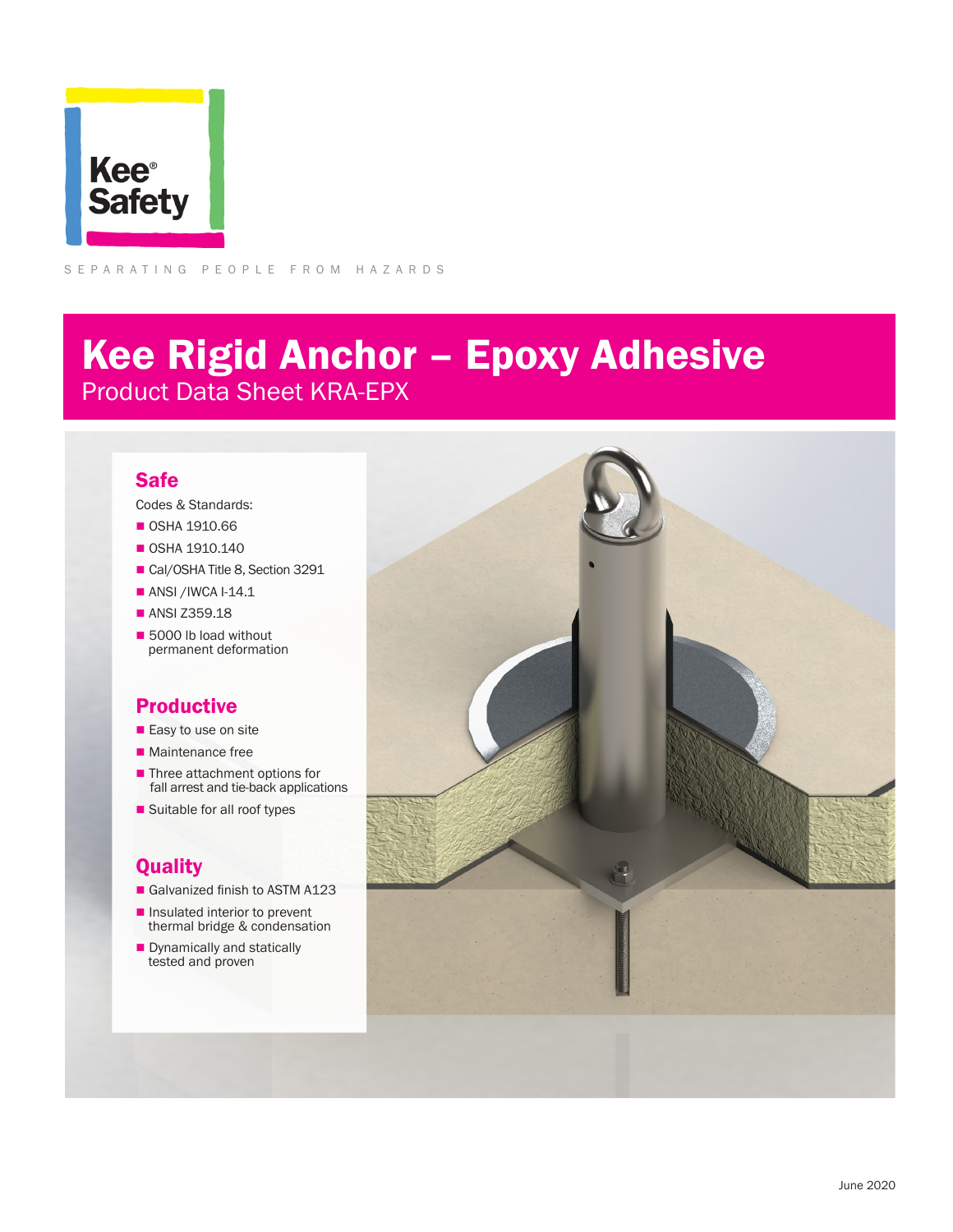

SEPARATING PEOPLE FROM HAZARDS

# Kee Rigid Anchor – Epoxy Adhesive Product Data Sheet KRA-EPX

#### Safe

Codes & Standards:

- **0SHA 1910.66**
- $\blacksquare$  OSHA 1910.140
- Cal/OSHA Title 8, Section 3291
- $\blacksquare$  ANSI /IWCA I-14.1
- ANSI Z359.18
- 5000 lb load without permanent deformation

### Productive

- $\blacksquare$  Easy to use on site
- $\blacksquare$  Maintenance free
- Three attachment options for fall arrest and tie-back applications
- Suitable for all roof types

### **Quality**

- Galvanized finish to ASTM A123
- $\blacksquare$  Insulated interior to prevent thermal bridge & condensation
- **n** Dynamically and statically tested and proven